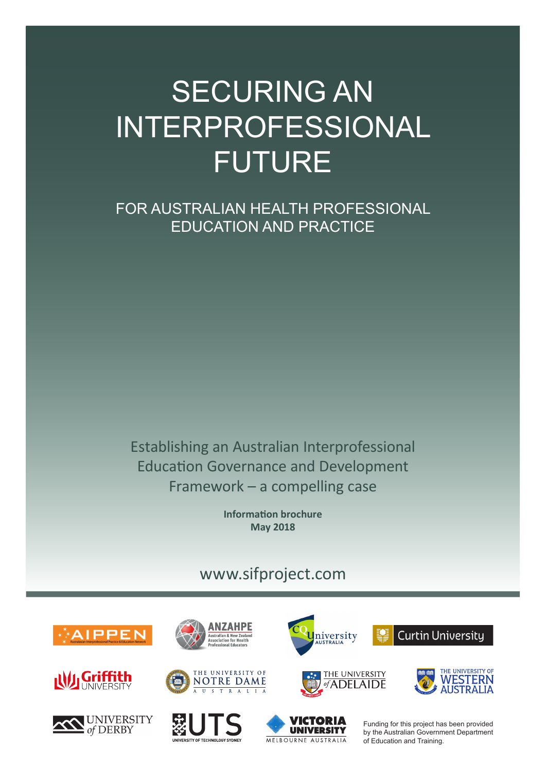# SECURING AN INTERPROFESSIONAL FUTURE

FOR AUSTRALIAN HEALTH PROFESSIONAL EDUCATION AND PRACTICE

Establishing an Australian Interprofessional Education Governance and Development Framework – a compelling case

> **Information brochure May 2018**

# [www.sifproject.com](http://www.sifproject.com)





















Funding for this project has been provided by the Australian Government Department of Education and Training.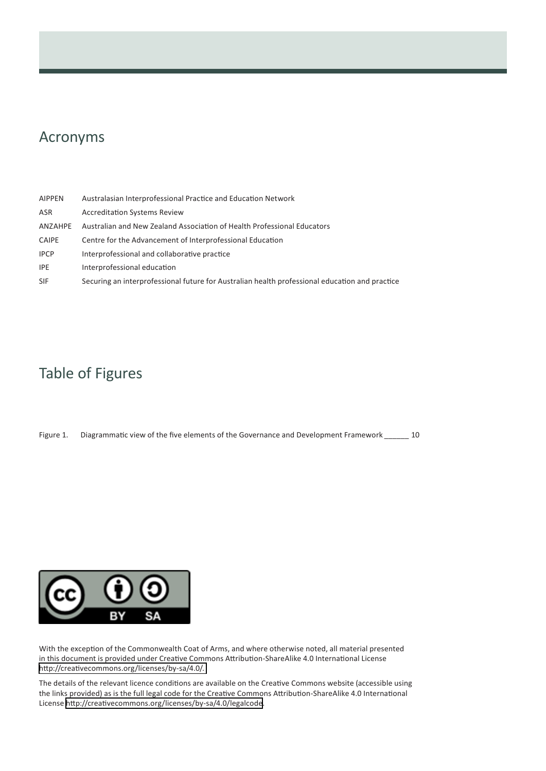## Acronyms

| <b>AIPPEN</b> | Australasian Interprofessional Practice and Education Network                                  |
|---------------|------------------------------------------------------------------------------------------------|
| ASR           | <b>Accreditation Systems Review</b>                                                            |
| ANZAHPE       | Australian and New Zealand Association of Health Professional Educators                        |
| <b>CAIPE</b>  | Centre for the Advancement of Interprofessional Education                                      |
| <b>IPCP</b>   | Interprofessional and collaborative practice                                                   |
| <b>IPE</b>    | Interprofessional education                                                                    |
| <b>SIF</b>    | Securing an interprofessional future for Australian health professional education and practice |

# Table of Figures

Figure 1. Diagrammatic view of the five elements of the Governance and Development Framework \_\_\_\_\_\_ 10



With the exception of the Commonwealth Coat of Arms, and where otherwise noted, all material presented in this document is provided under Creative Commons Attribution-ShareAlike 4.0 International License http://creativecommons.org/licenses/by-sa/4.0/.

The details of the relevant licence conditions are available on the Creative Commons website (accessible using the links provided) as is the full legal code for the Creative Commons Attribution-ShareAlike 4.0 International License http://creativecommons.org/licenses/by-sa/4.0/legalcode.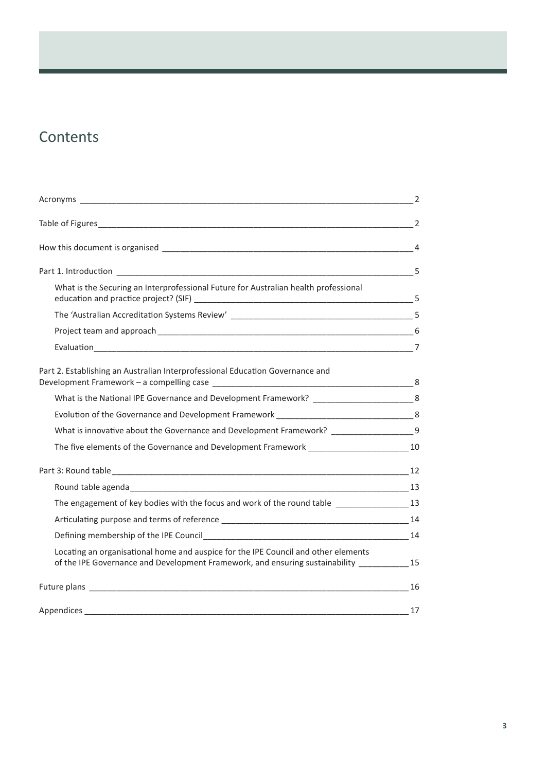# **Contents**

|                                                                                                                                                                                    | $\overline{2}$ |
|------------------------------------------------------------------------------------------------------------------------------------------------------------------------------------|----------------|
|                                                                                                                                                                                    |                |
|                                                                                                                                                                                    |                |
|                                                                                                                                                                                    |                |
|                                                                                                                                                                                    |                |
|                                                                                                                                                                                    |                |
| Part 2. Establishing an Australian Interprofessional Education Governance and                                                                                                      |                |
| What is the National IPE Governance and Development Framework? _____________________________8                                                                                      |                |
|                                                                                                                                                                                    |                |
| What is innovative about the Governance and Development Framework? _____________________9                                                                                          |                |
| The five elements of the Governance and Development Framework _______________________________10                                                                                    |                |
|                                                                                                                                                                                    |                |
|                                                                                                                                                                                    |                |
| The engagement of key bodies with the focus and work of the round table _________________13                                                                                        |                |
|                                                                                                                                                                                    |                |
|                                                                                                                                                                                    |                |
| Locating an organisational home and auspice for the IPE Council and other elements<br>of the IPE Governance and Development Framework, and ensuring sustainability _____________15 |                |
|                                                                                                                                                                                    |                |
|                                                                                                                                                                                    |                |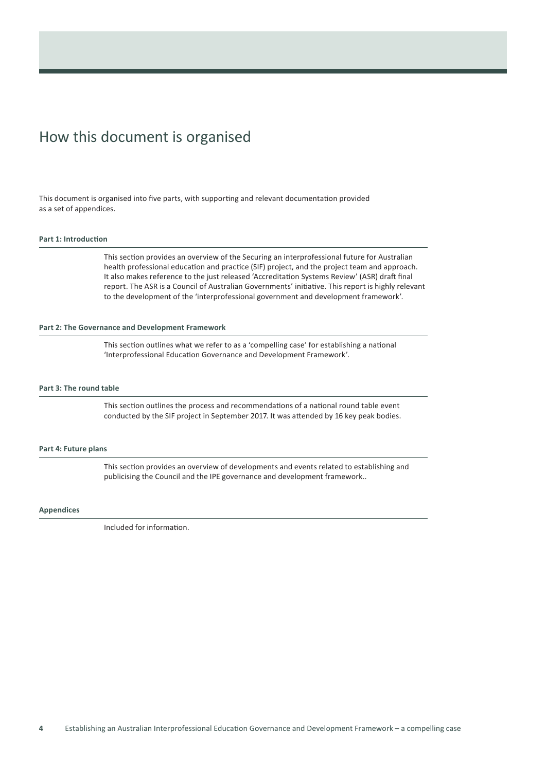# How this document is organised

This document is organised into five parts, with supporting and relevant documentation provided as a set of appendices.

#### **Part 1: Introduction**

This section provides an overview of the Securing an interprofessional future for Australian health professional education and practice (SIF) project, and the project team and approach. It also makes reference to the just released 'Accreditation Systems Review' (ASR) draft final report. The ASR is a Council of Australian Governments' initiative. This report is highly relevant to the development of the 'interprofessional government and development framework'.

#### **Part 2: The Governance and Development Framework**

This section outlines what we refer to as a 'compelling case' for establishing a national 'Interprofessional Education Governance and Development Framework'.

#### **Part 3: The round table**

This section outlines the process and recommendations of a national round table event conducted by the SIF project in September 2017. It was attended by 16 key peak bodies.

#### **Part 4: Future plans**

This section provides an overview of developments and events related to establishing and publicising the Council and the IPE governance and development framework..

#### **Appendices**

Included for information.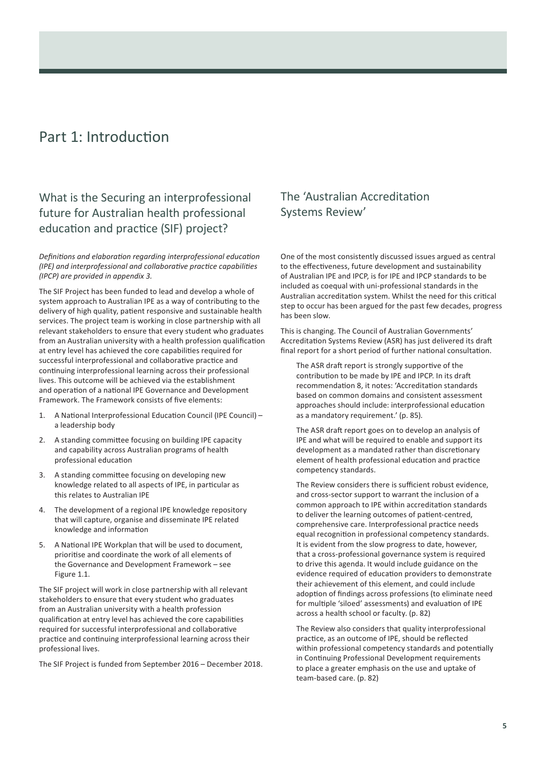# Part 1: Introduction

### What is the Securing an interprofessional future for Australian health professional education and practice (SIF) project?

*Definitions and elaboration regarding interprofessional education (IPE) and interprofessional and collaborative practice capabilities (IPCP) are provided in appendix 3.*

The SIF Project has been funded to lead and develop a whole of system approach to Australian IPE as a way of contributing to the delivery of high quality, patient responsive and sustainable health services. The project team is working in close partnership with all relevant stakeholders to ensure that every student who graduates from an Australian university with a health profession qualification at entry level has achieved the core capabilities required for successful interprofessional and collaborative practice and continuing interprofessional learning across their professional lives. This outcome will be achieved via the establishment and operation of a national IPE Governance and Development Framework. The Framework consists of five elements:

- 1. A National Interprofessional Education Council (IPE Council) a leadership body
- 2. A standing committee focusing on building IPE capacity and capability across Australian programs of health professional education
- 3. A standing committee focusing on developing new knowledge related to all aspects of IPE, in particular as this relates to Australian IPE
- 4. The development of a regional IPE knowledge repository that will capture, organise and disseminate IPE related knowledge and information
- 5. A National IPE Workplan that will be used to document, prioritise and coordinate the work of all elements of the Governance and Development Framework – see Figure 1.1.

The SIF project will work in close partnership with all relevant stakeholders to ensure that every student who graduates from an Australian university with a health profession qualification at entry level has achieved the core capabilities required for successful interprofessional and collaborative practice and continuing interprofessional learning across their professional lives.

The SIF Project is funded from September 2016 – December 2018.

### The 'Australian Accreditation Systems Review'

One of the most consistently discussed issues argued as central to the effectiveness, future development and sustainability of Australian IPE and IPCP, is for IPE and IPCP standards to be included as coequal with uni-professional standards in the Australian accreditation system. Whilst the need for this critical step to occur has been argued for the past few decades, progress has been slow.

This is changing. The Council of Australian Governments' [Accreditation Systems Review \(ASR\)](http://www.coaghealthcouncil.gov.au/Portals/0/Accreditation%20Review%20Draft%20Report.pdf) has just delivered its draft final report for a short period of further national consultation.

The ASR draft report is strongly supportive of the contribution to be made by IPE and IPCP. In its draft recommendation 8, it notes: 'Accreditation standards based on common domains and consistent assessment approaches should include: interprofessional education as a mandatory requirement.' (p. 85).

The ASR draft report goes on to develop an analysis of IPE and what will be required to enable and support its development as a mandated rather than discretionary element of health professional education and practice competency standards.

The Review considers there is sufficient robust evidence, and cross-sector support to warrant the inclusion of a common approach to IPE within accreditation standards to deliver the learning outcomes of patient-centred, comprehensive care. Interprofessional practice needs equal recognition in professional competency standards. It is evident from the slow progress to date, however, that a cross-professional governance system is required to drive this agenda. It would include guidance on the evidence required of education providers to demonstrate their achievement of this element, and could include adoption of findings across professions (to eliminate need for multiple 'siloed' assessments) and evaluation of IPE across a health school or faculty. (p. 82)

The Review also considers that quality interprofessional practice, as an outcome of IPE, should be reflected within professional competency standards and potentially in Continuing Professional Development requirements to place a greater emphasis on the use and uptake of team-based care. (p. 82)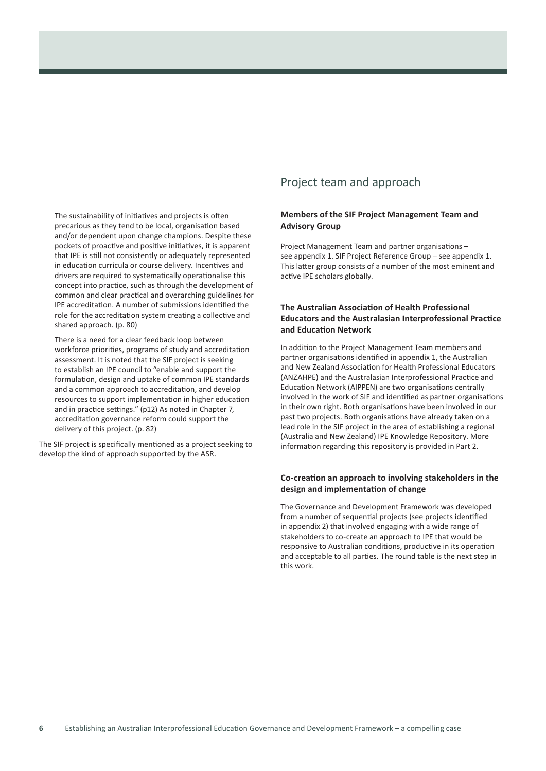The sustainability of initiatives and projects is often precarious as they tend to be local, organisation based and/or dependent upon change champions. Despite these pockets of proactive and positive initiatives, it is apparent that IPE is still not consistently or adequately represented in education curricula or course delivery. Incentives and drivers are required to systematically operationalise this concept into practice, such as through the development of common and clear practical and overarching guidelines for IPE accreditation. A number of submissions identified the role for the accreditation system creating a collective and shared approach. (p. 80)

There is a need for a clear feedback loop between workforce priorities, programs of study and accreditation assessment. It is noted that the SIF project is seeking to establish an IPE council to "enable and support the formulation, design and uptake of common IPE standards and a common approach to accreditation, and develop resources to support implementation in higher education and in practice settings." (p12) As noted in Chapter 7, accreditation governance reform could support the delivery of this project. (p. 82)

The SIF project is specifically mentioned as a project seeking to develop the kind of approach supported by the ASR.

### Project team and approach

### **Members of the SIF Project Management Team and Advisory Group**

Project Management Team and partner organisations – see appendix 1. SIF Project Reference Group – see appendix 1. This latter group consists of a number of the most eminent and active IPE scholars globally.

### **The Australian Association of Health Professional Educators and the Australasian Interprofessional Practice and Education Network**

In addition to the Project Management Team members and partner organisations identified in appendix 1, the Australian and New Zealand Association for Health Professional Educators (ANZAHPE) and the Australasian Interprofessional Practice and Education Network (AIPPEN) are two organisations centrally involved in the work of SIF and identified as partner organisations in their own right. Both organisations have been involved in our past two projects. Both organisations have already taken on a lead role in the SIF project in the area of establishing a regional (Australia and New Zealand) IPE Knowledge Repository. More information regarding this repository is provided in Part 2.

### **Co-creation an approach to involving stakeholders in the design and implementation of change**

The Governance and Development Framework was developed from a number of sequential projects (see projects identified in appendix 2) that involved engaging with a wide range of stakeholders to co-create an approach to IPE that would be responsive to Australian conditions, productive in its operation and acceptable to all parties. The round table is the next step in this work.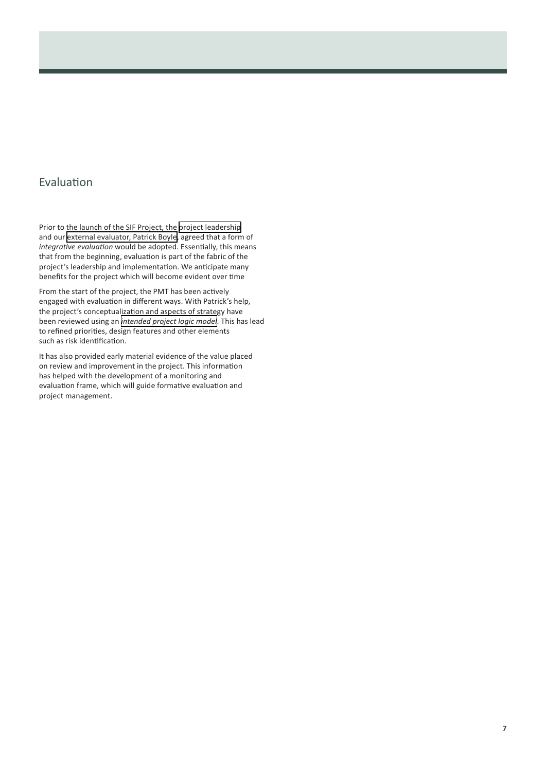### Evaluation

Prior to the launch of the SIF Project, the [project leadership](https://sifproject.com/people/) and our [external evaluator, Patrick Boyle,](https://sifproject.com/patrickboyle/) agreed that a form of *integrative evaluation* would be adopted. Essentially, this means that from the beginning, evaluation is part of the fabric of the project's leadership and implementation. We anticipate many benefits for the project which will become evident over time

From the start of the project, the PMT has been actively engaged with evaluation in different ways. With Patrick's help, the project's conceptualization and aspects of strategy have been reviewed using an *[intended project logic model](https://sifproject.files.wordpress.com/2018/02/intended-project-logic_sif-project.pdf)*. This has lead to refined priorities, design features and other elements such as risk identification.

It has also provided early material evidence of the value placed on review and improvement in the project. This information has helped with the development of a monitoring and evaluation frame, which will guide formative evaluation and project management.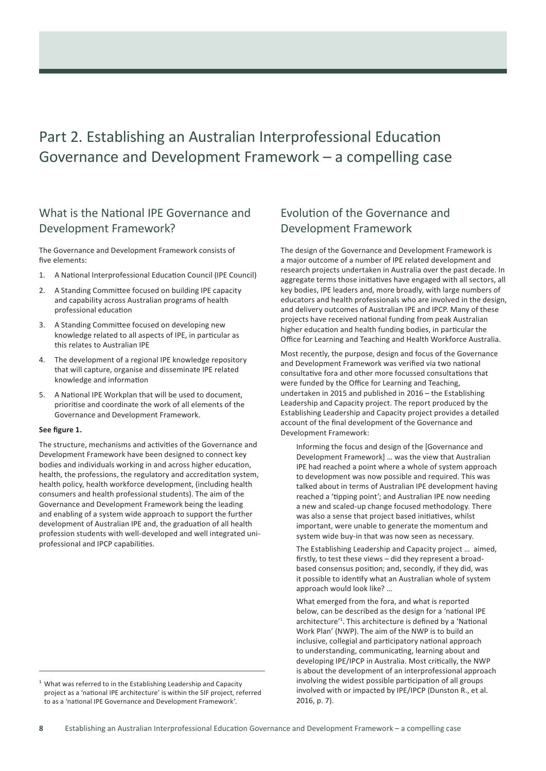# Part 2. Establishing an Australian Interprofessional Education Governance and Development Framework – a compelling case

### What is the National IPE Governance and Development Framework?

The Governance and Development Framework consists of five elements:

- 1. A National Interprofessional Education Council (IPE Council)
- 2. A Standing Committee focused on building IPE capacity and capability across Australian programs of health professional education
- 3. A Standing Committee focused on developing new knowledge related to all aspects of IPE, in particular as this relates to Australian IPE
- 4. The development of a regional IPE knowledge repository that will capture, organise and disseminate IPE related knowledge and information
- 5. A National IPE Workplan that will be used to document, prioritise and coordinate the work of all elements of the Governance and Development Framework.

### **See figure 1.**

The structure, mechanisms and activities of the Governance and Development Framework have been designed to connect key bodies and individuals working in and across higher education, health, the professions, the regulatory and accreditation system, health policy, health workforce development, (including health consumers and health professional students). The aim of the Governance and Development Framework being the leading and enabling of a system wide approach to support the further development of Australian IPE and, the graduation of all health profession students with well-developed and well integrated uniprofessional and IPCP capabilities.

 $^1$  What was referred to in the Establishing Leadership and Capacity project as a 'national IPE architecture' is within the SIF project, referred to as a 'national IPE Governance and Development Framework'.

### Evolution of the Governance and Development Framework

The design of the Governance and Development Framework is a major outcome of a number of IPE related development and research projects undertaken in Australia over the past decade. In aggregate terms those initiatives have engaged with all sectors, all key bodies, IPE leaders and, more broadly, with large numbers of educators and health professionals who are involved in the design, and delivery outcomes of Australian IPE and IPCP. Many of these projects have received national funding from peak Australian higher education and health funding bodies, in particular the Office for Learning and Teaching and Health Workforce Australia.

Most recently, the purpose, design and focus of the Governance and Development Framework was verified via two national consultative fora and other more focussed consultations that were funded by the Office for Learning and Teaching, undertaken in 2015 and published in 2016 – the Establishing Leadership and Capacity project. The report produced by the Establishing Leadership and Capacity project provides a detailed account of the final development of the Governance and Development Framework:

Informing the focus and design of the [Governance and Development Framework] … was the view that Australian IPE had reached a point where a whole of system approach to development was now possible and required. This was talked about in terms of Australian IPE development having reached a 'tipping point'; and Australian IPE now needing a new and scaled-up change focused methodology. There was also a sense that project based initiatives, whilst important, were unable to generate the momentum and system wide buy-in that was now seen as necessary.

The Establishing Leadership and Capacity project … aimed, firstly, to test these views – did they represent a broadbased consensus position; and, secondly, if they did, was it possible to identify what an Australian whole of system approach would look like? …

What emerged from the fora, and what is reported below, can be described as the design for a 'national IPE architecture'<sup>1</sup> . This architecture is defined by a 'National Work Plan' (NWP). The aim of the NWP is to build an inclusive, collegial and participatory national approach to understanding, communicating, learning about and developing IPE/IPCP in Australia. Most critically, the NWP is about the development of an interprofessional approach involving the widest possible participation of all groups involved with or impacted by IPE/IPCP (Dunston R., et al. 2016, p. 7).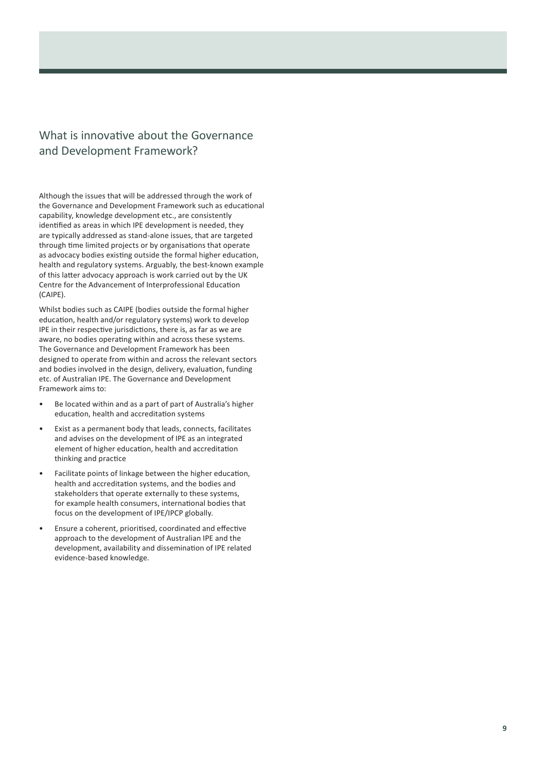### What is innovative about the Governance and Development Framework?

Although the issues that will be addressed through the work of the Governance and Development Framework such as educational capability, knowledge development etc., are consistently identified as areas in which IPE development is needed, they are typically addressed as stand-alone issues, that are targeted through time limited projects or by organisations that operate as advocacy bodies existing outside the formal higher education, health and regulatory systems. Arguably, the best-known example of this latter advocacy approach is work carried out by the UK Centre for the Advancement of Interprofessional Education ([CAIPE](http://www.caipe.org/)).

Whilst bodies such as CAIPE (bodies outside the formal higher education, health and/or regulatory systems) work to develop IPE in their respective jurisdictions, there is, as far as we are aware, no bodies operating within and across these systems. The Governance and Development Framework has been designed to operate from within and across the relevant sectors and bodies involved in the design, delivery, evaluation, funding etc. of Australian IPE. The Governance and Development Framework aims to:

- Be located within and as a part of part of Australia's higher education, health and accreditation systems
- Exist as a permanent body that leads, connects, facilitates and advises on the development of IPE as an integrated element of higher education, health and accreditation thinking and practice
- Facilitate points of linkage between the higher education, health and accreditation systems, and the bodies and stakeholders that operate externally to these systems, for example health consumers, international bodies that focus on the development of IPE/IPCP globally.
- Ensure a coherent, prioritised, coordinated and effective approach to the development of Australian IPE and the development, availability and dissemination of IPE related evidence-based knowledge.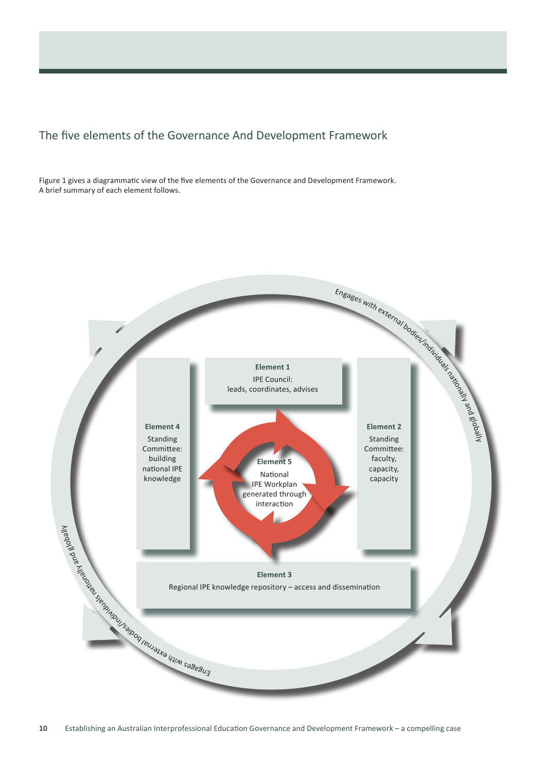### The five elements of the Governance And Development Framework

Figure 1 gives a diagrammatic view of the five elements of the Governance and Development Framework. A brief summary of each element follows.

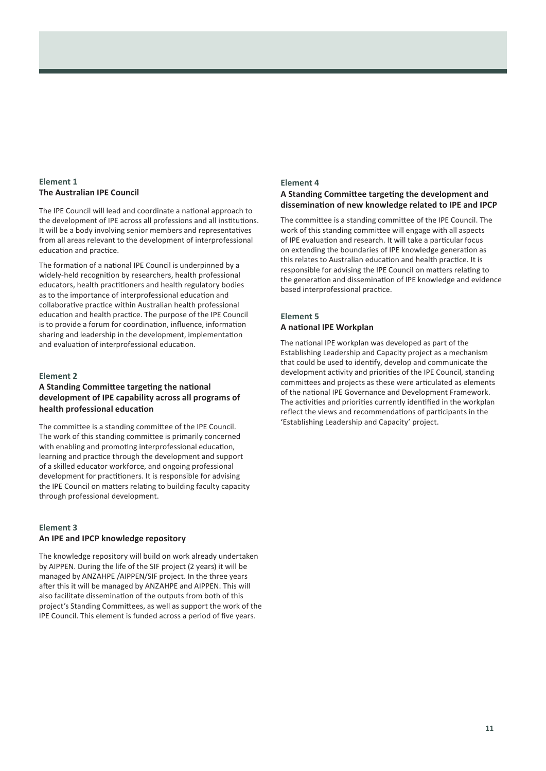### **Element 1 The Australian IPE Council**

The IPE Council will lead and coordinate a national approach to the development of IPE across all professions and all institutions. It will be a body involving senior members and representatives from all areas relevant to the development of interprofessional education and practice.

The formation of a national IPE Council is underpinned by a widely-held recognition by researchers, health professional educators, health practitioners and health regulatory bodies as to the importance of interprofessional education and collaborative practice within Australian health professional education and health practice. The purpose of the IPE Council is to provide a forum for coordination, influence, information sharing and leadership in the development, implementation and evaluation of interprofessional education.

### **Element 2**

### **A Standing Committee targeting the national development of IPE capability across all programs of health professional education**

The committee is a standing committee of the IPE Council. The work of this standing committee is primarily concerned with enabling and promoting interprofessional education, learning and practice through the development and support of a skilled educator workforce, and ongoing professional development for practitioners. It is responsible for advising the IPE Council on matters relating to building faculty capacity through professional development.

### **Element 3 An IPE and IPCP knowledge repository**

The knowledge repository will build on work already undertaken by AIPPEN. During the life of the SIF project (2 years) it will be managed by ANZAHPE /AIPPEN/SIF project. In the three years after this it will be managed by ANZAHPE and AIPPEN. This will also facilitate dissemination of the outputs from both of this project's Standing Committees, as well as support the work of the IPE Council. This element is funded across a period of five years.

### **Element 4 A Standing Committee targeting the development and dissemination of new knowledge related to IPE and IPCP**

The committee is a standing committee of the IPE Council. The work of this standing committee will engage with all aspects of IPE evaluation and research. It will take a particular focus on extending the boundaries of IPE knowledge generation as this relates to Australian education and health practice. It is responsible for advising the IPE Council on matters relating to the generation and dissemination of IPE knowledge and evidence based interprofessional practice.

### **Element 5 A national IPE Workplan**

### The national IPE workplan was developed as part of the Establishing Leadership and Capacity project as a mechanism that could be used to identify, develop and communicate the development activity and priorities of the IPE Council, standing committees and projects as these were articulated as elements of the national IPE Governance and Development Framework. The activities and priorities currently identified in the workplan reflect the views and recommendations of participants in the 'Establishing Leadership and Capacity' project.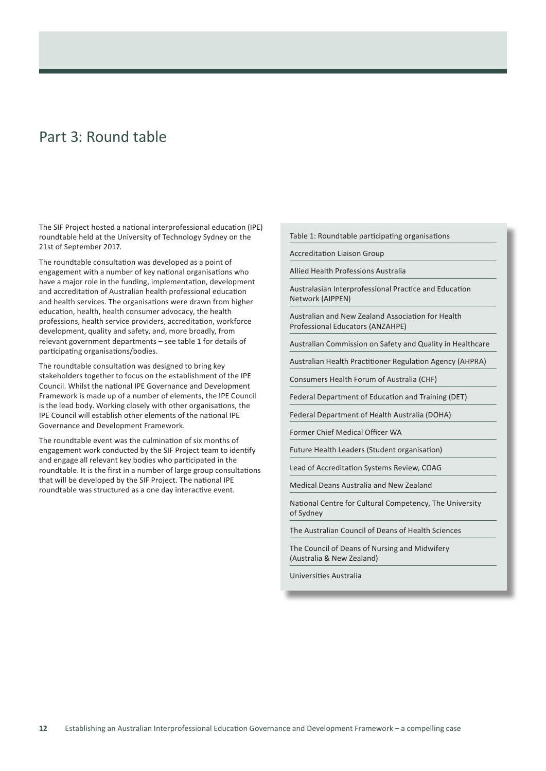# Part 3: Round table

The SIF Project hosted a national interprofessional education (IPE) roundtable held at the University of Technology Sydney on the 21st of September 2017.

The roundtable consultation was developed as a point of engagement with a number of key national organisations who have a major role in the funding, implementation, development and accreditation of Australian health professional education and health services. The organisations were drawn from higher education, health, health consumer advocacy, the health professions, health service providers, accreditation, workforce development, quality and safety, and, more broadly, from relevant government departments – see table 1 for details of participating organisations/bodies.

The roundtable consultation was designed to bring key stakeholders together to focus on the establishment of the IPE Council. Whilst the national IPE Governance and Development Framework is made up of a number of elements, the IPE Council is the lead body. Working closely with other organisations, the IPE Council will establish other elements of the national IPE Governance and Development Framework.

The roundtable event was the culmination of six months of engagement work conducted by the SIF Project team to identify and engage all relevant key bodies who participated in the roundtable. It is the first in a number of large group consultations that will be developed by the SIF Project. The national IPE roundtable was structured as a one day interactive event.

Table 1: Roundtable participating organisations

Accreditation Liaison Group

Allied Health Professions Australia

Australasian Interprofessional Practice and Education Network (AIPPEN)

Australian and New Zealand Association for Health Professional Educators (ANZAHPE)

Australian Commission on Safety and Quality in Healthcare

Australian Health Practitioner Regulation Agency (AHPRA)

Consumers Health Forum of Australia (CHF)

Federal Department of Education and Training (DET)

Federal Department of Health Australia (DOHA)

Former Chief Medical Officer WA

Future Health Leaders (Student organisation)

Lead of Accreditation Systems Review, COAG

Medical Deans Australia and New Zealand

National Centre for Cultural Competency, The University of Sydney

The Australian Council of Deans of Health Sciences

The Council of Deans of Nursing and Midwifery (Australia & New Zealand)

Universities Australia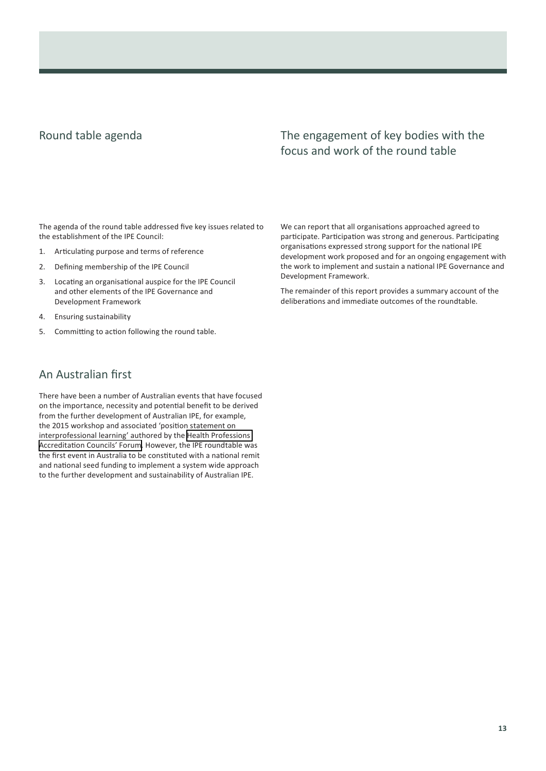### Round table agenda

### The engagement of key bodies with the focus and work of the round table

The agenda of the round table addressed five key issues related to the establishment of the IPE Council:

- 1. Articulating purpose and terms of reference
- 2. Defining membership of the IPE Council
- 3. Locating an organisational auspice for the IPE Council and other elements of the IPE Governance and Development Framework
- 4. Ensuring sustainability
- 5. Committing to action following the round table.

### An Australian first

There have been a number of Australian events that have focused on the importance, necessity and potential benefit to be derived from the further development of Australian IPE, for example, the 2015 workshop and associated 'position statement on interprofessional learning' authored by the [Health Professions](http://www.hpacf.org.au/)  [Accreditation Councils' Forum](http://www.hpacf.org.au/). However, the IPE roundtable was the first event in Australia to be constituted with a national remit and national seed funding to implement a system wide approach to the further development and sustainability of Australian IPE.

We can report that all organisations approached agreed to participate. Participation was strong and generous. Participating organisations expressed strong support for the national IPE development work proposed and for an ongoing engagement with the work to implement and sustain a national IPE Governance and Development Framework.

The remainder of this report provides a summary account of the deliberations and immediate outcomes of the roundtable.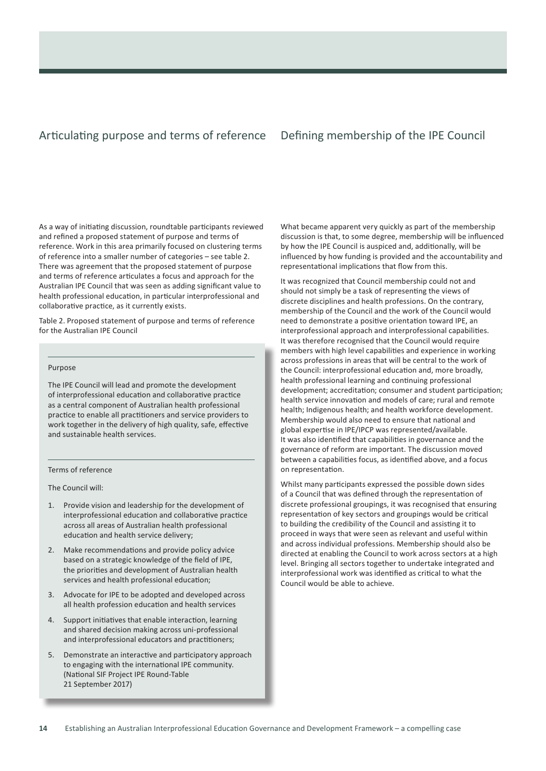### Articulating purpose and terms of reference Defining membership of the IPE Council

As a way of initiating discussion, roundtable participants reviewed and refined a proposed statement of purpose and terms of reference. Work in this area primarily focused on clustering terms of reference into a smaller number of categories – see table 2. There was agreement that the proposed statement of purpose and terms of reference articulates a focus and approach for the Australian IPE Council that was seen as adding significant value to health professional education, in particular interprofessional and collaborative practice, as it currently exists.

Table 2. Proposed statement of purpose and terms of reference for the Australian IPE Council

#### Purpose

The IPE Council will lead and promote the development of interprofessional education and collaborative practice as a central component of Australian health professional practice to enable all practitioners and service providers to work together in the delivery of high quality, safe, effective and sustainable health services.

#### Terms of reference

The Council will:

- 1. Provide vision and leadership for the development of interprofessional education and collaborative practice across all areas of Australian health professional education and health service delivery;
- 2. Make recommendations and provide policy advice based on a strategic knowledge of the field of IPE, the priorities and development of Australian health services and health professional education;
- 3. Advocate for IPE to be adopted and developed across all health profession education and health services
- 4. Support initiatives that enable interaction, learning and shared decision making across uni-professional and interprofessional educators and practitioners;
- 5. Demonstrate an interactive and participatory approach to engaging with the international IPE community. (National SIF Project IPE Round-Table 21 September 2017)

What became apparent very quickly as part of the membership discussion is that, to some degree, membership will be influenced by how the IPE Council is auspiced and, additionally, will be influenced by how funding is provided and the accountability and representational implications that flow from this.

It was recognized that Council membership could not and should not simply be a task of representing the views of discrete disciplines and health professions. On the contrary, membership of the Council and the work of the Council would need to demonstrate a positive orientation toward IPE, an interprofessional approach and interprofessional capabilities. It was therefore recognised that the Council would require members with high level capabilities and experience in working across professions in areas that will be central to the work of the Council: interprofessional education and, more broadly, health professional learning and continuing professional development; accreditation; consumer and student participation; health service innovation and models of care; rural and remote health; Indigenous health; and health workforce development. Membership would also need to ensure that national and global expertise in IPE/IPCP was represented/available. It was also identified that capabilities in governance and the governance of reform are important. The discussion moved between a capabilities focus, as identified above, and a focus on representation.

Whilst many participants expressed the possible down sides of a Council that was defined through the representation of discrete professional groupings, it was recognised that ensuring representation of key sectors and groupings would be critical to building the credibility of the Council and assisting it to proceed in ways that were seen as relevant and useful within and across individual professions. Membership should also be directed at enabling the Council to work across sectors at a high level. Bringing all sectors together to undertake integrated and interprofessional work was identified as critical to what the Council would be able to achieve.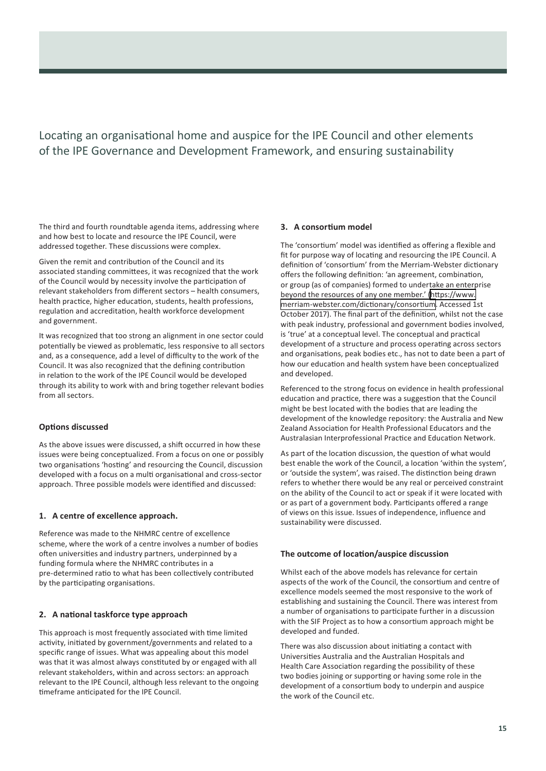Locating an organisational home and auspice for the IPE Council and other elements of the IPE Governance and Development Framework, and ensuring sustainability

The third and fourth roundtable agenda items, addressing where and how best to locate and resource the IPE Council, were addressed together. These discussions were complex.

Given the remit and contribution of the Council and its associated standing committees, it was recognized that the work of the Council would by necessity involve the participation of relevant stakeholders from different sectors – health consumers, health practice, higher education, students, health professions, regulation and accreditation, health workforce development and government.

It was recognized that too strong an alignment in one sector could potentially be viewed as problematic, less responsive to all sectors and, as a consequence, add a level of difficulty to the work of the Council. It was also recognized that the defining contribution in relation to the work of the IPE Council would be developed through its ability to work with and bring together relevant bodies from all sectors.

### **Options discussed**

As the above issues were discussed, a shift occurred in how these issues were being conceptualized. From a focus on one or possibly two organisations 'hosting' and resourcing the Council, discussion developed with a focus on a multi organisational and cross-sector approach. Three possible models were identified and discussed:

#### **1. A centre of excellence approach.**

Reference was made to the NHMRC centre of excellence scheme, where the work of a centre involves a number of bodies often universities and industry partners, underpinned by a funding formula where the NHMRC contributes in a pre-determined ratio to what has been collectively contributed by the participating organisations.

### **2. A national taskforce type approach**

This approach is most frequently associated with time limited activity, initiated by government/governments and related to a specific range of issues. What was appealing about this model was that it was almost always constituted by or engaged with all relevant stakeholders, within and across sectors: an approach relevant to the IPE Council, although less relevant to the ongoing timeframe anticipated for the IPE Council.

### **3. A consortium model**

The 'consortium' model was identified as offering a flexible and fit for purpose way of locating and resourcing the IPE Council. A definition of 'consortium' from the Merriam-Webster dictionary offers the following definition: 'an agreement, combination, or group (as of companies) formed to undertake an enterprise beyond the resources of any one member.' [\(https://www.](Accreditation Systems Review (ASR)) [merriam-webster.com/dictionary/consortium](Accreditation Systems Review (ASR)). Accessed 1st October 2017). The final part of the definition, whilst not the case with peak industry, professional and government bodies involved, is 'true' at a conceptual level. The conceptual and practical development of a structure and process operating across sectors and organisations, peak bodies etc., has not to date been a part of how our education and health system have been conceptualized and developed.

Referenced to the strong focus on evidence in health professional education and practice, there was a suggestion that the Council might be best located with the bodies that are leading the development of the knowledge repository: the Australia and New Zealand Association for Health Professional Educators and the Australasian Interprofessional Practice and Education Network.

As part of the location discussion, the question of what would best enable the work of the Council, a location 'within the system', or 'outside the system', was raised. The distinction being drawn refers to whether there would be any real or perceived constraint on the ability of the Council to act or speak if it were located with or as part of a government body. Participants offered a range of views on this issue. Issues of independence, influence and sustainability were discussed.

#### **The outcome of location/auspice discussion**

Whilst each of the above models has relevance for certain aspects of the work of the Council, the consortium and centre of excellence models seemed the most responsive to the work of establishing and sustaining the Council. There was interest from a number of organisations to participate further in a discussion with the SIF Project as to how a consortium approach might be developed and funded.

There was also discussion about initiating a contact with Universities Australia and the Australian Hospitals and Health Care Association regarding the possibility of these two bodies joining or supporting or having some role in the development of a consortium body to underpin and auspice the work of the Council etc.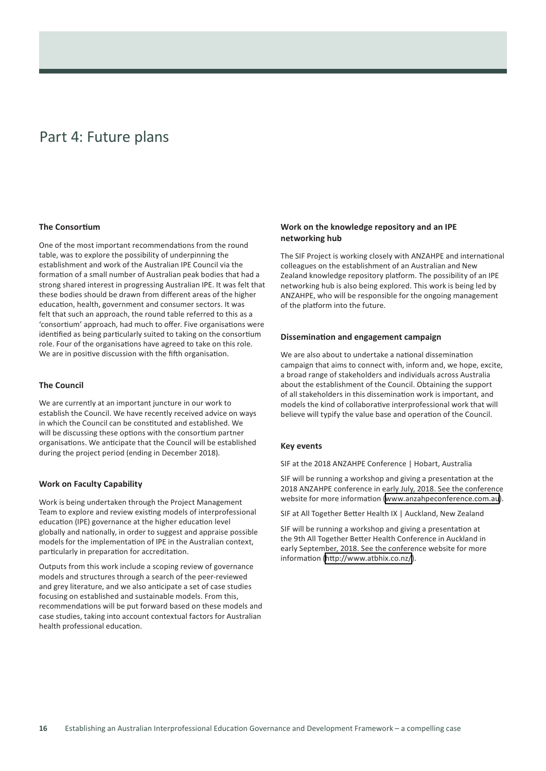# Part 4: Future plans

### **The Consortium**

One of the most important recommendations from the round table, was to explore the possibility of underpinning the establishment and work of the Australian IPE Council via the formation of a small number of Australian peak bodies that had a strong shared interest in progressing Australian IPE. It was felt that these bodies should be drawn from different areas of the higher education, health, government and consumer sectors. It was felt that such an approach, the round table referred to this as a 'consortium' approach, had much to offer. Five organisations were identified as being particularly suited to taking on the consortium role. Four of the organisations have agreed to take on this role. We are in positive discussion with the fifth organisation.

### **The Council**

We are currently at an important juncture in our work to establish the Council. We have recently received advice on ways in which the Council can be constituted and established. We will be discussing these options with the consortium partner organisations. We anticipate that the Council will be established during the project period (ending in December 2018).

### **Work on Faculty Capability**

Work is being undertaken through the Project Management Team to explore and review existing models of interprofessional education (IPE) governance at the higher education level globally and nationally, in order to suggest and appraise possible models for the implementation of IPE in the Australian context, particularly in preparation for accreditation.

Outputs from this work include a scoping review of governance models and structures through a search of the peer-reviewed and grey literature, and we also anticipate a set of case studies focusing on established and sustainable models. From this, recommendations will be put forward based on these models and case studies, taking into account contextual factors for Australian health professional education.

### **Work on the knowledge repository and an IPE networking hub**

The SIF Project is working closely with ANZAHPE and international colleagues on the establishment of an Australian and New Zealand knowledge repository platform. The possibility of an IPE networking hub is also being explored. This work is being led by ANZAHPE, who will be responsible for the ongoing management of the platform into the future.

#### **Dissemination and engagement campaign**

We are also about to undertake a national dissemination campaign that aims to connect with, inform and, we hope, excite, a broad range of stakeholders and individuals across Australia about the establishment of the Council. Obtaining the support of all stakeholders in this dissemination work is important, and models the kind of collaborative interprofessional work that will believe will typify the value base and operation of the Council.

#### **Key events**

SIF at the 2018 ANZAHPE Conference | Hobart, Australia

SIF will be running a workshop and giving a presentation at the 2018 ANZAHPE conference in early July, 2018. See the conference website for more information [\(www.anzahpeconference.com.au\)](Accreditation Systems Review (ASR)).

SIF at All Together Better Health IX | Auckland, New Zealand

SIF will be running a workshop and giving a presentation at the 9th All Together Better Health Conference in Auckland in early September, 2018. See the conference website for more information ([http://www.atbhix.co.nz/](Accreditation Systems Review (ASR))).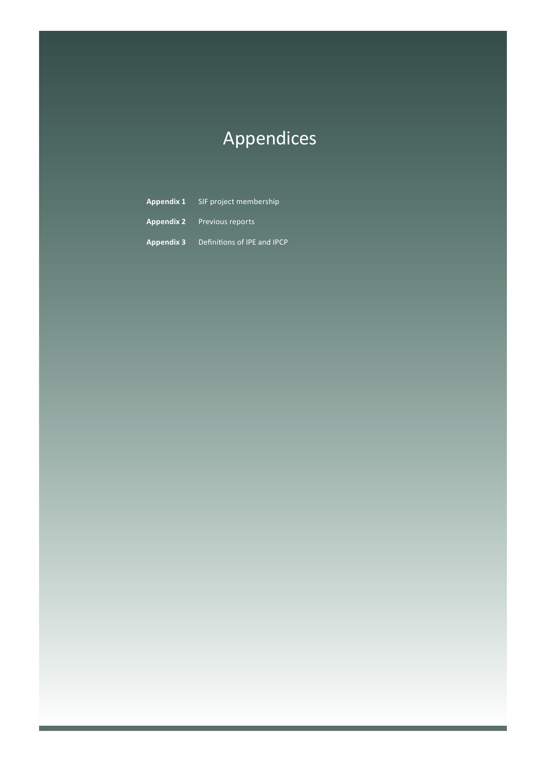# Appendices

**Appendix 1** SIF project membership **Appendix 2** Previous reports **Appendix 3** Definitions of IPE and IPCP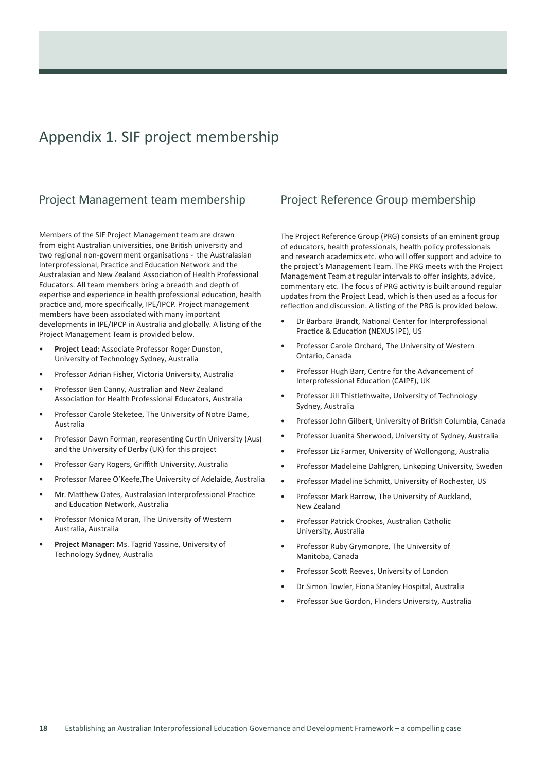# Appendix 1. SIF project membership

### Project Management team membership

Members of the SIF Project Management team are drawn from eight Australian universities, one British university and two regional non-government organisations - the Australasian Interprofessional, Practice and Education Network and the Australasian and New Zealand Association of Health Professional Educators. All team members bring a breadth and depth of expertise and experience in health professional education, health practice and, more specifically, IPE/IPCP. Project management members have been associated with many important developments in IPE/IPCP in Australia and globally. A listing of the Project Management Team is provided below.

- **Project Lead:** Associate Professor Roger Dunston, University of Technology Sydney, Australia
- Professor Adrian Fisher, Victoria University, Australia
- Professor Ben Canny, Australian and New Zealand Association for Health Professional Educators, Australia
- Professor Carole Steketee, The University of Notre Dame, Australia
- Professor Dawn Forman, representing Curtin University (Aus) and the University of Derby (UK) for this project
- Professor Gary Rogers, Griffith University, Australia
- Professor Maree O'Keefe,The University of Adelaide, Australia
- Mr. Matthew Oates, Australasian Interprofessional Practice and Education Network, Australia
- Professor Monica Moran, The University of Western Australia, Australia
- **Project Manager:** Ms. Tagrid Yassine, University of Technology Sydney, Australia

### Project Reference Group membership

The Project Reference Group (PRG) consists of an eminent group of educators, health professionals, health policy professionals and research academics etc. who will offer support and advice to the project's Management Team. The PRG meets with the Project Management Team at regular intervals to offer insights, advice, commentary etc. The focus of PRG activity is built around regular updates from the Project Lead, which is then used as a focus for reflection and discussion. A listing of the PRG is provided below.

- Dr Barbara Brandt, National Center for Interprofessional Practice & Education (NEXUS IPE), US
- Professor Carole Orchard, The University of Western Ontario, Canada
- Professor Hugh Barr, Centre for the Advancement of Interprofessional Education (CAIPE), UK
- Professor Jill Thistlethwaite, University of Technology Sydney, Australia
- Professor John Gilbert, University of British Columbia, Canada
- Professor Juanita Sherwood, University of Sydney, Australia
- Professor Liz Farmer, University of Wollongong, Australia
- Professor Madeleine Dahlgren, Linkøping University, Sweden
- Professor Madeline Schmitt, University of Rochester, US
- Professor Mark Barrow, The University of Auckland, New Zealand
- Professor Patrick Crookes, Australian Catholic University, Australia
- Professor Ruby Grymonpre, The University of Manitoba, Canada
- Professor Scott Reeves, University of London
- Dr Simon Towler, Fiona Stanley Hospital, Australia
- Professor Sue Gordon, Flinders University, Australia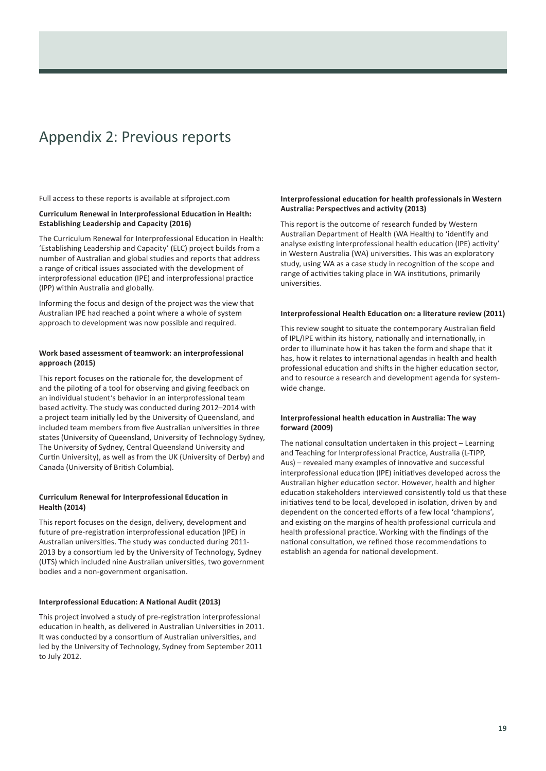# Appendix 2: Previous reports

Full access to these reports is available at [sifproject.com](http://)

#### **Curriculum Renewal in Interprofessional Education in Health: Establishing Leadership and Capacity (2016)**

The Curriculum Renewal for Interprofessional Education in Health: 'Establishing Leadership and Capacity' (ELC) project builds from a number of Australian and global studies and reports that address a range of critical issues associated with the development of interprofessional education (IPE) and interprofessional practice (IPP) within Australia and globally.

Informing the focus and design of the project was the view that Australian IPE had reached a point where a whole of system approach to development was now possible and required.

### **Work based assessment of teamwork: an interprofessional approach (2015)**

This report focuses on the rationale for, the development of and the piloting of a tool for observing and giving feedback on an individual student's behavior in an interprofessional team based activity. The study was conducted during 2012–2014 with a project team initially led by the University of Queensland, and included team members from five Australian universities in three states (University of Queensland, University of Technology Sydney, The University of Sydney, Central Queensland University and Curtin University), as well as from the UK (University of Derby) and Canada (University of British Columbia).

### **Curriculum Renewal for Interprofessional Education in Health (2014)**

This report focuses on the design, delivery, development and future of pre-registration interprofessional education (IPE) in Australian universities. The study was conducted during 2011- 2013 by a consortium led by the University of Technology, Sydney (UTS) which included nine Australian universities, two government bodies and a non-government organisation.

### **Interprofessional Education: A National Audit (2013)**

This project involved a study of pre-registration interprofessional education in health, as delivered in Australian Universities in 2011. It was conducted by a consortium of Australian universities, and led by the University of Technology, Sydney from September 2011 to July 2012.

### **Interprofessional education for health professionals in Western Australia: Perspectives and activity (2013)**

This report is the outcome of research funded by Western Australian Department of Health (WA Health) to 'identify and analyse existing interprofessional health education (IPE) activity' in Western Australia (WA) universities. This was an exploratory study, using WA as a case study in recognition of the scope and range of activities taking place in WA institutions, primarily universities.

#### **Interprofessional Health Education on: a literature review (2011)**

This review sought to situate the contemporary Australian field of IPL/IPE within its history, nationally and internationally, in order to illuminate how it has taken the form and shape that it has, how it relates to international agendas in health and health professional education and shifts in the higher education sector, and to resource a research and development agenda for systemwide change.

### **Interprofessional health education in Australia: The way forward (2009)**

The national consultation undertaken in this project – Learning and Teaching for Interprofessional Practice, Australia (L-TIPP, Aus) – revealed many examples of innovative and successful interprofessional education (IPE) initiatives developed across the Australian higher education sector. However, health and higher education stakeholders interviewed consistently told us that these initiatives tend to be local, developed in isolation, driven by and dependent on the concerted efforts of a few local 'champions', and existing on the margins of health professional curricula and health professional practice. Working with the findings of the national consultation, we refined those recommendations to establish an agenda for national development.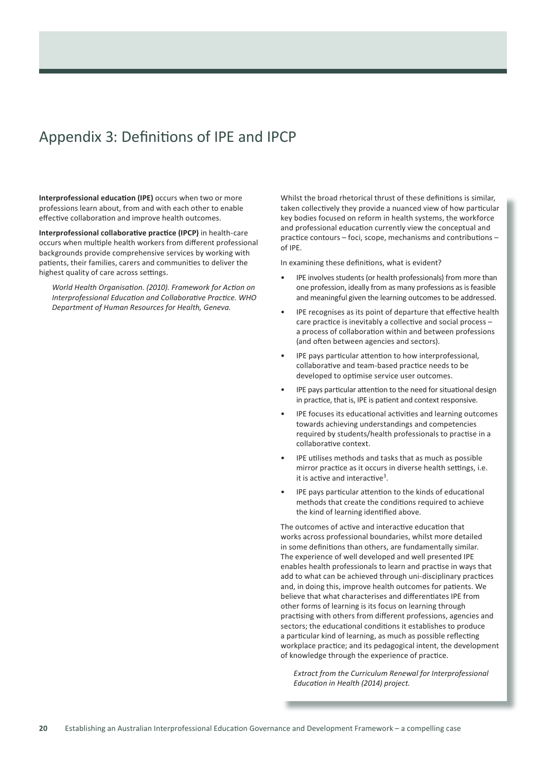# Appendix 3: Definitions of IPE and IPCP

**Interprofessional education (IPE)** occurs when two or more professions learn about, from and with each other to enable effective collaboration and improve health outcomes.

**Interprofessional collaborative practice (IPCP)** in health-care occurs when multiple health workers from different professional backgrounds provide comprehensive services by working with patients, their families, carers and communities to deliver the highest quality of care across settings.

*World Health Organisation. (2010). Framework for Action on Interprofessional Education and Collaborative Practice. WHO Department of Human Resources for Health, Geneva.*

Whilst the broad rhetorical thrust of these definitions is similar, taken collectively they provide a nuanced view of how particular key bodies focused on reform in health systems, the workforce and professional education currently view the conceptual and practice contours – foci, scope, mechanisms and contributions – of IPE.

In examining these definitions, what is evident?

- IPE involves students (or health professionals) from more than one profession, ideally from as many professions as is feasible and meaningful given the learning outcomes to be addressed.
- IPE recognises as its point of departure that effective health care practice is inevitably a collective and social process – a process of collaboration within and between professions (and often between agencies and sectors).
- IPE pays particular attention to how interprofessional, collaborative and team-based practice needs to be developed to optimise service user outcomes.
- IPE pays particular attention to the need for situational design in practice, that is, IPE is patient and context responsive.
- IPE focuses its educational activities and learning outcomes towards achieving understandings and competencies required by students/health professionals to practise in a collaborative context.
- IPE utilises methods and tasks that as much as possible mirror practice as it occurs in diverse health settings, i.e. it is active and interactive<sup>3</sup>.
- IPE pays particular attention to the kinds of educational methods that create the conditions required to achieve the kind of learning identified above.

The outcomes of active and interactive education that works across professional boundaries, whilst more detailed in some definitions than others, are fundamentally similar. The experience of well developed and well presented IPE enables health professionals to learn and practise in ways that add to what can be achieved through uni-disciplinary practices and, in doing this, improve health outcomes for patients. We believe that what characterises and differentiates IPE from other forms of learning is its focus on learning through practising with others from different professions, agencies and sectors; the educational conditions it establishes to produce a particular kind of learning, as much as possible reflecting workplace practice; and its pedagogical intent, the development of knowledge through the experience of practice.

*Extract from the Curriculum Renewal for Interprofessional Education in Health (2014) project.*